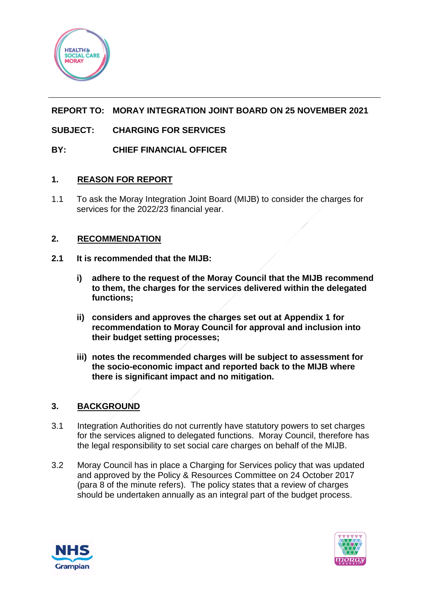

# **REPORT TO: MORAY INTEGRATION JOINT BOARD ON 25 NOVEMBER 2021**

# **SUBJECT: CHARGING FOR SERVICES**

## **BY: CHIEF FINANCIAL OFFICER**

### **1. REASON FOR REPORT**

1.1 To ask the Moray Integration Joint Board (MIJB) to consider the charges for services for the 2022/23 financial year.

### **2. RECOMMENDATION**

- **2.1 It is recommended that the MIJB:**
	- **i) adhere to the request of the Moray Council that the MIJB recommend to them, the charges for the services delivered within the delegated functions;**
	- **ii) considers and approves the charges set out at Appendix 1 for recommendation to Moray Council for approval and inclusion into their budget setting processes;**
	- **iii) notes the recommended charges will be subject to assessment for the socio-economic impact and reported back to the MIJB where there is significant impact and no mitigation.**

## **3. BACKGROUND**

- 3.1 Integration Authorities do not currently have statutory powers to set charges for the services aligned to delegated functions. Moray Council, therefore has the legal responsibility to set social care charges on behalf of the MIJB.
- 3.2 Moray Council has in place a Charging for Services policy that was updated and approved by the Policy & Resources Committee on 24 October 2017 (para 8 of the minute refers). The policy states that a review of charges should be undertaken annually as an integral part of the budget process.



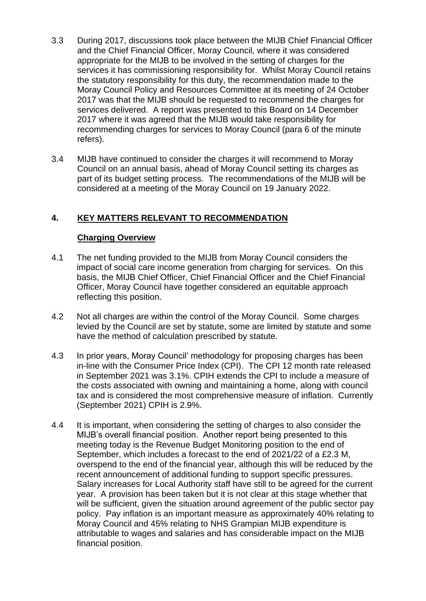- 3.3 During 2017, discussions took place between the MIJB Chief Financial Officer and the Chief Financial Officer, Moray Council, where it was considered appropriate for the MIJB to be involved in the setting of charges for the services it has commissioning responsibility for. Whilst Moray Council retains the statutory responsibility for this duty, the recommendation made to the Moray Council Policy and Resources Committee at its meeting of 24 October 2017 was that the MIJB should be requested to recommend the charges for services delivered. A report was presented to this Board on 14 December 2017 where it was agreed that the MIJB would take responsibility for recommending charges for services to Moray Council (para 6 of the minute refers).
- 3.4 MIJB have continued to consider the charges it will recommend to Moray Council on an annual basis, ahead of Moray Council setting its charges as part of its budget setting process. The recommendations of the MIJB will be considered at a meeting of the Moray Council on 19 January 2022.

## **4. KEY MATTERS RELEVANT TO RECOMMENDATION**

#### **Charging Overview**

- 4.1 The net funding provided to the MIJB from Moray Council considers the impact of social care income generation from charging for services. On this basis, the MIJB Chief Officer, Chief Financial Officer and the Chief Financial Officer, Moray Council have together considered an equitable approach reflecting this position.
- 4.2 Not all charges are within the control of the Moray Council. Some charges levied by the Council are set by statute, some are limited by statute and some have the method of calculation prescribed by statute.
- 4.3 In prior years, Moray Council' methodology for proposing charges has been in-line with the Consumer Price Index (CPI). The CPI 12 month rate released in September 2021 was 3.1%. CPIH extends the CPI to include a measure of the costs associated with owning and maintaining a home, along with council tax and is considered the most comprehensive measure of inflation. Currently (September 2021) CPIH is 2.9%.
- 4.4 It is important, when considering the setting of charges to also consider the MIJB's overall financial position. Another report being presented to this meeting today is the Revenue Budget Monitoring position to the end of September, which includes a forecast to the end of 2021/22 of a £2.3 M, overspend to the end of the financial year, although this will be reduced by the recent announcement of additional funding to support specific pressures. Salary increases for Local Authority staff have still to be agreed for the current year. A provision has been taken but it is not clear at this stage whether that will be sufficient, given the situation around agreement of the public sector pay policy. Pay inflation is an important measure as approximately 40% relating to Moray Council and 45% relating to NHS Grampian MIJB expenditure is attributable to wages and salaries and has considerable impact on the MIJB financial position.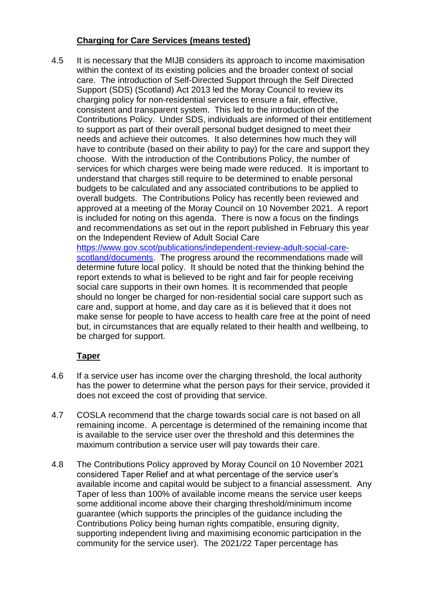## **Charging for Care Services (means tested)**

4.5 It is necessary that the MIJB considers its approach to income maximisation within the context of its existing policies and the broader context of social care. The introduction of Self-Directed Support through the Self Directed Support (SDS) (Scotland) Act 2013 led the Moray Council to review its charging policy for non-residential services to ensure a fair, effective, consistent and transparent system. This led to the introduction of the Contributions Policy. Under SDS, individuals are informed of their entitlement to support as part of their overall personal budget designed to meet their needs and achieve their outcomes. It also determines how much they will have to contribute (based on their ability to pay) for the care and support they choose. With the introduction of the Contributions Policy, the number of services for which charges were being made were reduced. It is important to understand that charges still require to be determined to enable personal budgets to be calculated and any associated contributions to be applied to overall budgets. The Contributions Policy has recently been reviewed and approved at a meeting of the Moray Council on 10 November 2021. A report is included for noting on this agenda. There is now a focus on the findings and recommendations as set out in the report published in February this year on the Independent Review of Adult Social Care [https://www.gov.scot/publications/independent-review-adult-social-care-](https://www.gov.scot/publications/independent-review-adult-social-care-scotland/documents)

[scotland/documents.](https://www.gov.scot/publications/independent-review-adult-social-care-scotland/documents) The progress around the recommendations made will determine future local policy. It should be noted that the thinking behind the report extends to what is believed to be right and fair for people receiving social care supports in their own homes. It is recommended that people should no longer be charged for non-residential social care support such as care and, support at home, and day care as it is believed that it does not make sense for people to have access to health care free at the point of need but, in circumstances that are equally related to their health and wellbeing, to be charged for support.

# **Taper**

- 4.6 If a service user has income over the charging threshold, the local authority has the power to determine what the person pays for their service, provided it does not exceed the cost of providing that service.
- 4.7 COSLA recommend that the charge towards social care is not based on all remaining income. A percentage is determined of the remaining income that is available to the service user over the threshold and this determines the maximum contribution a service user will pay towards their care.
- 4.8 The Contributions Policy approved by Moray Council on 10 November 2021 considered Taper Relief and at what percentage of the service user's available income and capital would be subject to a financial assessment. Any Taper of less than 100% of available income means the service user keeps some additional income above their charging threshold/minimum income guarantee (which supports the principles of the guidance including the Contributions Policy being human rights compatible, ensuring dignity, supporting independent living and maximising economic participation in the community for the service user). The 2021/22 Taper percentage has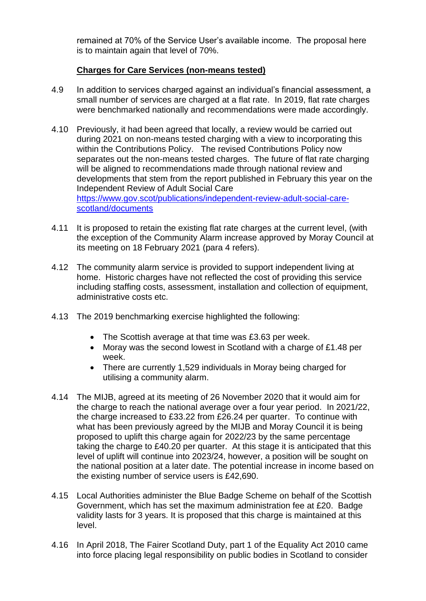remained at 70% of the Service User's available income. The proposal here is to maintain again that level of 70%.

## **Charges for Care Services (non-means tested)**

- 4.9 In addition to services charged against an individual's financial assessment, a small number of services are charged at a flat rate. In 2019, flat rate charges were benchmarked nationally and recommendations were made accordingly.
- 4.10 Previously, it had been agreed that locally, a review would be carried out during 2021 on non-means tested charging with a view to incorporating this within the Contributions Policy. The revised Contributions Policy now separates out the non-means tested charges. The future of flat rate charging will be aligned to recommendations made through national review and developments that stem from the report published in February this year on the Independent Review of Adult Social Care [https://www.gov.scot/publications/independent-review-adult-social-care](https://www.gov.scot/publications/independent-review-adult-social-care-scotland/documents)[scotland/documents](https://www.gov.scot/publications/independent-review-adult-social-care-scotland/documents)
- 4.11 It is proposed to retain the existing flat rate charges at the current level, (with the exception of the Community Alarm increase approved by Moray Council at its meeting on 18 February 2021 (para 4 refers).
- 4.12 The community alarm service is provided to support independent living at home. Historic charges have not reflected the cost of providing this service including staffing costs, assessment, installation and collection of equipment, administrative costs etc.
- 4.13 The 2019 benchmarking exercise highlighted the following:
	- The Scottish average at that time was £3.63 per week.
	- Moray was the second lowest in Scotland with a charge of £1.48 per week.
	- There are currently 1,529 individuals in Moray being charged for utilising a community alarm.
- 4.14 The MIJB, agreed at its meeting of 26 November 2020 that it would aim for the charge to reach the national average over a four year period. In 2021/22, the charge increased to £33.22 from £26.24 per quarter. To continue with what has been previously agreed by the MIJB and Moray Council it is being proposed to uplift this charge again for 2022/23 by the same percentage taking the charge to £40.20 per quarter. At this stage it is anticipated that this level of uplift will continue into 2023/24, however, a position will be sought on the national position at a later date. The potential increase in income based on the existing number of service users is £42,690.
- 4.15 Local Authorities administer the Blue Badge Scheme on behalf of the Scottish Government, which has set the maximum administration fee at £20. Badge validity lasts for 3 years. It is proposed that this charge is maintained at this level.
- 4.16 In April 2018, The Fairer Scotland Duty, part 1 of the Equality Act 2010 came into force placing legal responsibility on public bodies in Scotland to consider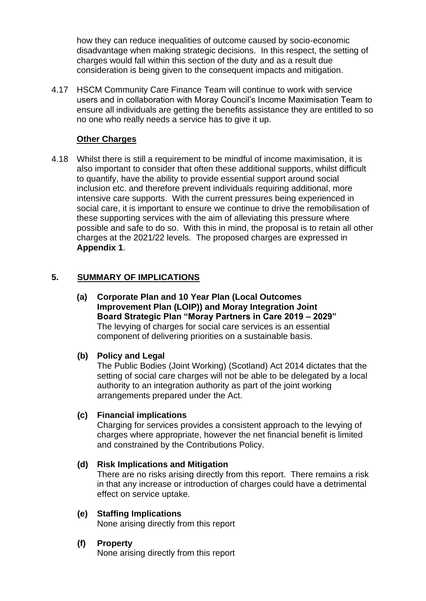how they can reduce inequalities of outcome caused by socio-economic disadvantage when making strategic decisions. In this respect, the setting of charges would fall within this section of the duty and as a result due consideration is being given to the consequent impacts and mitigation.

4.17 HSCM Community Care Finance Team will continue to work with service users and in collaboration with Moray Council's Income Maximisation Team to ensure all individuals are getting the benefits assistance they are entitled to so no one who really needs a service has to give it up.

### **Other Charges**

4.18 Whilst there is still a requirement to be mindful of income maximisation, it is also important to consider that often these additional supports, whilst difficult to quantify, have the ability to provide essential support around social inclusion etc. and therefore prevent individuals requiring additional, more intensive care supports. With the current pressures being experienced in social care, it is important to ensure we continue to drive the remobilisation of these supporting services with the aim of alleviating this pressure where possible and safe to do so. With this in mind, the proposal is to retain all other charges at the 2021/22 levels. The proposed charges are expressed in **Appendix 1**.

### **5. SUMMARY OF IMPLICATIONS**

**(a) Corporate Plan and 10 Year Plan (Local Outcomes Improvement Plan (LOIP)) and Moray Integration Joint Board Strategic Plan "Moray Partners in Care 2019 – 2029"** The levying of charges for social care services is an essential component of delivering priorities on a sustainable basis.

#### **(b) Policy and Legal**

The Public Bodies (Joint Working) (Scotland) Act 2014 dictates that the setting of social care charges will not be able to be delegated by a local authority to an integration authority as part of the joint working arrangements prepared under the Act.

#### **(c) Financial implications**

Charging for services provides a consistent approach to the levying of charges where appropriate, however the net financial benefit is limited and constrained by the Contributions Policy.

#### **(d) Risk Implications and Mitigation**

There are no risks arising directly from this report. There remains a risk in that any increase or introduction of charges could have a detrimental effect on service uptake.

#### **(e) Staffing Implications**

None arising directly from this report

## **(f) Property**

None arising directly from this report